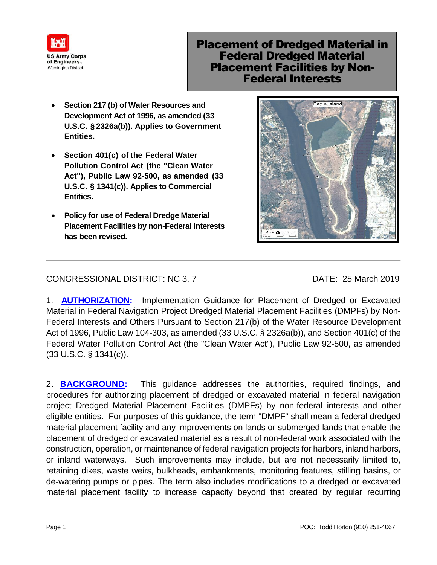

## Placement of Dredged Material in Federal Dredged Material Placement Facilities by Non-Federal Interests

- **Section 217 (b) of Water Resources and Development Act of 1996, as amended (33 U.S.C. § 2326a(b)). Applies to Government Entities.**
- **Section 401(c) of the Federal Water Pollution Control Act (the "Clean Water Act"), Public Law 92-500, as amended (33 U.S.C. § 1341(c)). Applies to Commercial Entities.**
- **Policy for use of Federal Dredge Material Placement Facilities by non-Federal Interests has been revised.**



## CONGRESSIONAL DISTRICT: NC 3, 7 DATE: 25 March 2019

1. **AUTHORIZATION:** Implementation Guidance for Placement of Dredged or Excavated Material in Federal Navigation Project Dredged Material Placement Facilities (DMPFs) by Non-Federal Interests and Others Pursuant to Section 217(b) of the Water Resource Development Act of 1996, Public Law 104-303, as amended (33 U.S.C. § 2326a(b)), and Section 401(c) of the Federal Water Pollution Control Act (the "Clean Water Act"), Public Law 92-500, as amended (33 U.S.C. § 1341(c)).

2. **BACKGROUND:** This guidance addresses the authorities, required findings, and procedures for authorizing placement of dredged or excavated material in federal navigation project Dredged Material Placement Facilities (DMPFs) by non-federal interests and other eligible entities. For purposes of this guidance, the term "DMPF" shall mean a federal dredged material placement facility and any improvements on lands or submerged lands that enable the placement of dredged or excavated material as a result of non-federal work associated with the construction, operation, or maintenance of federal navigation projects for harbors, inland harbors, or inland waterways. Such improvements may include, but are not necessarily limited to, retaining dikes, waste weirs, bulkheads, embankments, monitoring features, stilling basins, or de-watering pumps or pipes. The term also includes modifications to a dredged or excavated material placement facility to increase capacity beyond that created by regular recurring